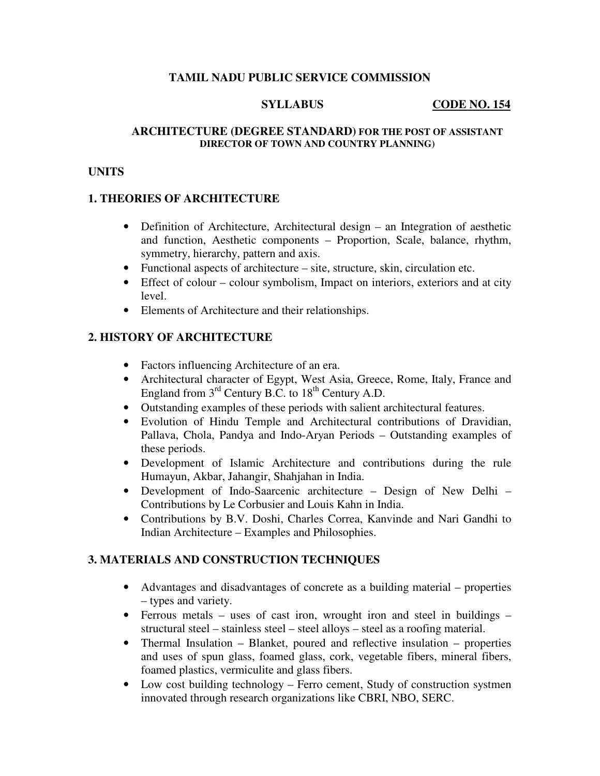### **TAMIL NADU PUBLIC SERVICE COMMISSION**

#### **SYLLABUS** CODE NO. 154

#### **ARCHITECTURE (DEGREE STANDARD) FOR THE POST OF ASSISTANT DIRECTOR OF TOWN AND COUNTRY PLANNING)**

#### **UNITS**

#### **1. THEORIES OF ARCHITECTURE**

- Definition of Architecture, Architectural design an Integration of aesthetic and function, Aesthetic components – Proportion, Scale, balance, rhythm, symmetry, hierarchy, pattern and axis.
- Functional aspects of architecture site, structure, skin, circulation etc.
- Effect of colour colour symbolism, Impact on interiors, exteriors and at city level.
- Elements of Architecture and their relationships.

### **2. HISTORY OF ARCHITECTURE**

- Factors influencing Architecture of an era.
- Architectural character of Egypt, West Asia, Greece, Rome, Italy, France and England from  $3<sup>rd</sup>$  Century B.C. to  $18<sup>th</sup>$  Century A.D.
- Outstanding examples of these periods with salient architectural features.
- Evolution of Hindu Temple and Architectural contributions of Dravidian, Pallava, Chola, Pandya and Indo-Aryan Periods – Outstanding examples of these periods.
- Development of Islamic Architecture and contributions during the rule Humayun, Akbar, Jahangir, Shahjahan in India.
- Development of Indo-Saarcenic architecture Design of New Delhi Contributions by Le Corbusier and Louis Kahn in India.
- Contributions by B.V. Doshi, Charles Correa, Kanvinde and Nari Gandhi to Indian Architecture – Examples and Philosophies.

### **3. MATERIALS AND CONSTRUCTION TECHNIQUES**

- Advantages and disadvantages of concrete as a building material properties – types and variety.
- Ferrous metals uses of cast iron, wrought iron and steel in buildings structural steel – stainless steel – steel alloys – steel as a roofing material.
- Thermal Insulation Blanket, poured and reflective insulation properties and uses of spun glass, foamed glass, cork, vegetable fibers, mineral fibers, foamed plastics, vermiculite and glass fibers.
- Low cost building technology Ferro cement, Study of construction systmen innovated through research organizations like CBRI, NBO, SERC.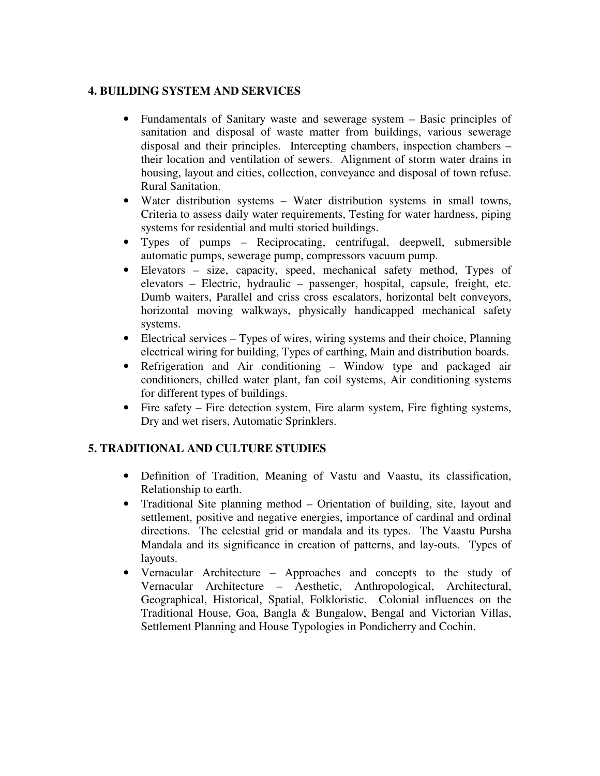### **4. BUILDING SYSTEM AND SERVICES**

- Fundamentals of Sanitary waste and sewerage system Basic principles of sanitation and disposal of waste matter from buildings, various sewerage disposal and their principles. Intercepting chambers, inspection chambers – their location and ventilation of sewers. Alignment of storm water drains in housing, layout and cities, collection, conveyance and disposal of town refuse. Rural Sanitation.
- Water distribution systems Water distribution systems in small towns, Criteria to assess daily water requirements, Testing for water hardness, piping systems for residential and multi storied buildings.
- Types of pumps Reciprocating, centrifugal, deepwell, submersible automatic pumps, sewerage pump, compressors vacuum pump.
- Elevators size, capacity, speed, mechanical safety method, Types of elevators – Electric, hydraulic – passenger, hospital, capsule, freight, etc. Dumb waiters, Parallel and criss cross escalators, horizontal belt conveyors, horizontal moving walkways, physically handicapped mechanical safety systems.
- Electrical services Types of wires, wiring systems and their choice, Planning electrical wiring for building, Types of earthing, Main and distribution boards.
- Refrigeration and Air conditioning Window type and packaged air conditioners, chilled water plant, fan coil systems, Air conditioning systems for different types of buildings.
- Fire safety Fire detection system, Fire alarm system, Fire fighting systems, Dry and wet risers, Automatic Sprinklers.

### **5. TRADITIONAL AND CULTURE STUDIES**

- Definition of Tradition, Meaning of Vastu and Vaastu, its classification, Relationship to earth.
- Traditional Site planning method Orientation of building, site, layout and settlement, positive and negative energies, importance of cardinal and ordinal directions. The celestial grid or mandala and its types. The Vaastu Pursha Mandala and its significance in creation of patterns, and lay-outs. Types of layouts.
- Vernacular Architecture Approaches and concepts to the study of Vernacular Architecture – Aesthetic, Anthropological, Architectural, Geographical, Historical, Spatial, Folkloristic. Colonial influences on the Traditional House, Goa, Bangla & Bungalow, Bengal and Victorian Villas, Settlement Planning and House Typologies in Pondicherry and Cochin.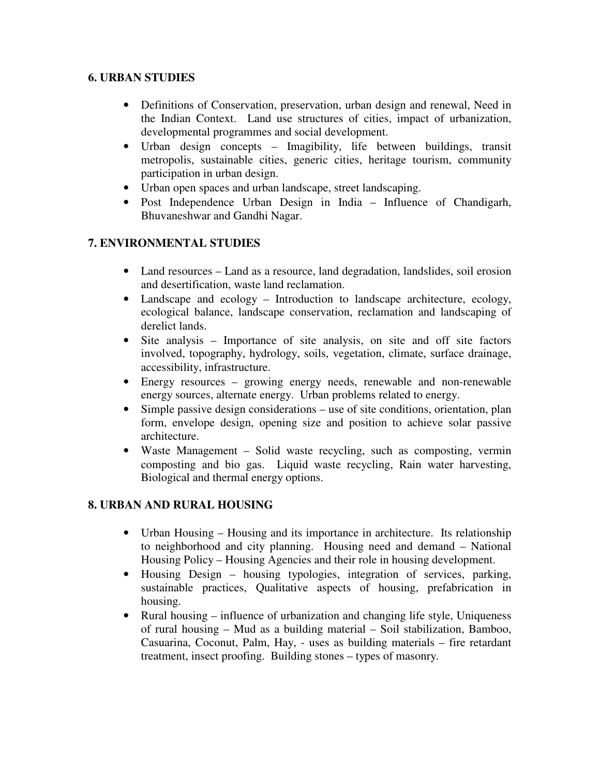## **6. URBAN STUDIES**

- Definitions of Conservation, preservation, urban design and renewal, Need in the Indian Context. Land use structures of cities, impact of urbanization, developmental programmes and social development.
- Urban design concepts Imagibility, life between buildings, transit metropolis, sustainable cities, generic cities, heritage tourism, community participation in urban design.
- Urban open spaces and urban landscape, street landscaping.
- Post Independence Urban Design in India Influence of Chandigarh, Bhuvaneshwar and Gandhi Nagar.

# **7. ENVIRONMENTAL STUDIES**

- Land resources Land as a resource, land degradation, landslides, soil erosion and desertification, waste land reclamation.
- Landscape and ecology Introduction to landscape architecture, ecology, ecological balance, landscape conservation, reclamation and landscaping of derelict lands.
- Site analysis Importance of site analysis, on site and off site factors involved, topography, hydrology, soils, vegetation, climate, surface drainage, accessibility, infrastructure.
- Energy resources growing energy needs, renewable and non-renewable energy sources, alternate energy. Urban problems related to energy.
- Simple passive design considerations use of site conditions, orientation, plan form, envelope design, opening size and position to achieve solar passive architecture.
- Waste Management Solid waste recycling, such as composting, vermin composting and bio gas. Liquid waste recycling, Rain water harvesting, Biological and thermal energy options.

### **8. URBAN AND RURAL HOUSING**

- Urban Housing Housing and its importance in architecture. Its relationship to neighborhood and city planning. Housing need and demand – National Housing Policy – Housing Agencies and their role in housing development.
- Housing Design housing typologies, integration of services, parking, sustainable practices, Qualitative aspects of housing, prefabrication in housing.
- Rural housing influence of urbanization and changing life style, Uniqueness of rural housing – Mud as a building material – Soil stabilization, Bamboo, Casuarina, Coconut, Palm, Hay, - uses as building materials – fire retardant treatment, insect proofing. Building stones – types of masonry.